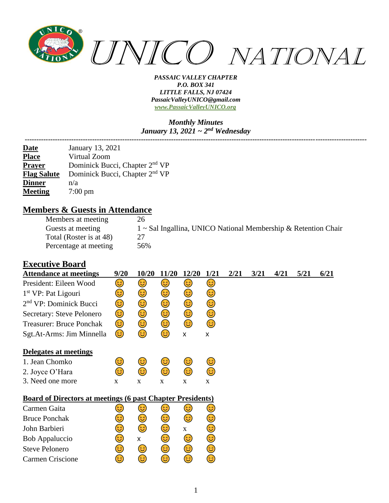

#### *Monthly Minutes January 13, 2021 ~ 2nd Wednesday*

| <b>Date</b>        | January 13, 2021                           |
|--------------------|--------------------------------------------|
| <b>Place</b>       | Virtual Zoom                               |
| <b>Prayer</b>      | Dominick Bucci, Chapter 2 <sup>nd</sup> VP |
| <b>Flag Salute</b> | Dominick Bucci, Chapter 2 <sup>nd</sup> VP |
| <b>Dinner</b>      | n/a                                        |
| <b>Meeting</b>     | $7:00 \text{ pm}$                          |

### **Members & Guests in Attendance**

| Members at meeting      | 26                                                             |
|-------------------------|----------------------------------------------------------------|
| Guests at meeting       | 1 ~ Sal Ingallina, UNICO National Membership & Retention Chair |
| Total (Roster is at 48) | 27                                                             |
| Percentage at meeting   | 56%                                                            |

### **Executive Board**

| <b>Attendance at meetings</b>                                     | 9/20 | 10/20 | 11/20 | 12/20       | 1/21        | 2/21 | 3/21 | 4/21 | 5/21 | 6/21 |
|-------------------------------------------------------------------|------|-------|-------|-------------|-------------|------|------|------|------|------|
| President: Eileen Wood                                            | 3)   | 3)    | 3)    | 3)          | 3)          |      |      |      |      |      |
| 1 <sup>st</sup> VP: Pat Ligouri                                   | 3    | 3)    | 3     | 3)          | 3)          |      |      |      |      |      |
| $2nd$ VP: Dominick Bucci                                          | ٢    | 3)    | 3     | ٢           | 3           |      |      |      |      |      |
| Secretary: Steve Pelonero                                         | ٢    | ٢     | ☺     | ٢           | ٢           |      |      |      |      |      |
| <b>Treasurer: Bruce Ponchak</b>                                   | 3)   | ٢     | ٢     | ٢           | ٢           |      |      |      |      |      |
| Sgt.At-Arms: Jim Minnella                                         | 3)   | 3     | ٤     | X           | X           |      |      |      |      |      |
| Delegates at meetings                                             |      |       |       |             |             |      |      |      |      |      |
| 1. Jean Chomko                                                    | 3    | 3     | 3)    | 3           | 3           |      |      |      |      |      |
| 2. Joyce O'Hara                                                   | ಡ    | 3     | 3     | 3           | 3           |      |      |      |      |      |
| 3. Need one more                                                  | X    | X     | X     | X           | $\mathbf X$ |      |      |      |      |      |
| <b>Board of Directors at meetings (6 past Chapter Presidents)</b> |      |       |       |             |             |      |      |      |      |      |
| Carmen Gaita                                                      | ತ    | 3)    | 3)    | 3           | ತಿ          |      |      |      |      |      |
| <b>Bruce Ponchak</b>                                              | 3    | 3     | 3     | ٢           | 3           |      |      |      |      |      |
| John Barbieri                                                     | 3    | ٢     | 3     | $\mathbf X$ | ☺           |      |      |      |      |      |
| Bob Appaluccio                                                    | 3    | X     | ☺     | 3)          | ٢           |      |      |      |      |      |
| <b>Steve Pelonero</b>                                             | 3    | 3)    | ٢     | 3)          | ٢           |      |      |      |      |      |
| Carmen Criscione                                                  | 3    | ತಿ    | 3     | 3           | 3           |      |      |      |      |      |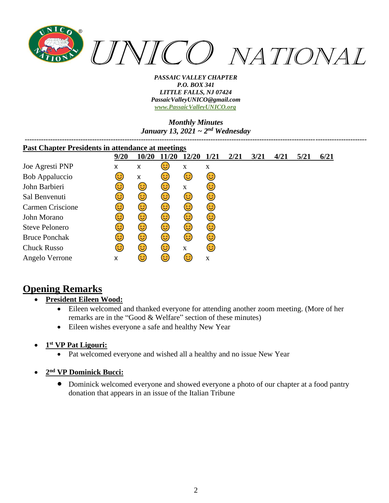

### *Monthly Minutes January 13, 2021 ~ 2nd Wednesday*

| <b>Past Chapter Presidents in attendance at meetings</b> |      |       |      |             |             |      |      |      |      |      |
|----------------------------------------------------------|------|-------|------|-------------|-------------|------|------|------|------|------|
|                                                          | 9/20 | 10/20 | 1/20 | 12/20       | <b>1/21</b> | 2/21 | 3/21 | 4/21 | 5/21 | 6/21 |
| Joe Agresti PNP                                          | x    | x     | 3    | X           | $\mathbf X$ |      |      |      |      |      |
| Bob Appaluccio                                           | 3    | X     | 3)   | 3           | 3)          |      |      |      |      |      |
| John Barbieri                                            | 3)   | 3)    | 3)   | $\mathbf X$ | 6           |      |      |      |      |      |
| Sal Benvenuti                                            | 3    | 3)    | 3)   | 3)          | 3)          |      |      |      |      |      |
| <b>Carmen Criscione</b>                                  | 3)   | 3)    | 3)   | 3)          | 3)          |      |      |      |      |      |
| John Morano                                              | 3    | 3)    | 3)   | 3           | 3           |      |      |      |      |      |
| <b>Steve Pelonero</b>                                    | 3    | 3)    | 3)   | 3           | 3           |      |      |      |      |      |
| <b>Bruce Ponchak</b>                                     | 3    | 3)    | 3)   | 3           | 3           |      |      |      |      |      |
| <b>Chuck Russo</b>                                       | 63)  | 6     | 3)   | $\mathbf X$ | 63          |      |      |      |      |      |
| Angelo Verrone                                           | X    | 3     | 3)   | 6           | $\mathbf X$ |      |      |      |      |      |

# **Opening Remarks**

### • **President Eileen Wood:**

- Eileen welcomed and thanked everyone for attending another zoom meeting. (More of her remarks are in the "Good & Welfare" section of these minutes)
- Eileen wishes everyone a safe and healthy New Year
- **1 st VP Pat Ligouri:**
	- Pat welcomed everyone and wished all a healthy and no issue New Year
- **2 nd VP Dominick Bucci:**
	- Dominick welcomed everyone and showed everyone a photo of our chapter at a food pantry donation that appears in an issue of the Italian Tribune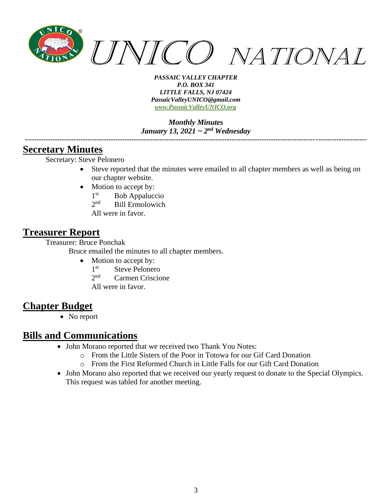

*Monthly Minutes January 13, 2021 ~ 2nd Wednesday*

### **Secretary Minutes**

Secretary: Steve Pelonero

• Steve reported that the minutes were emailed to all chapter members as well as being on our chapter website.

*---------------------------------------------------------------------------------------------------------------------------------------------------*

- Motion to accept by:
	- $1<sup>st</sup>$ Bob Appaluccio
	- $2<sub>nd</sub>$ Bill Ermolowich
	- All were in favor.

### **Treasurer Report**

Treasurer: Bruce Ponchak

Bruce emailed the minutes to all chapter members.

- Motion to accept by:
	- $1<sup>st</sup>$ Steve Pelonero
	- $2<sub>nd</sub>$ Carmen Criscione
	- All were in favor.

## **Chapter Budget**

• No report

## **Bills and Communications**

- John Morano reported that we received two Thank You Notes:
	- o From the Little Sisters of the Poor in Totowa for our Gif Card Donation
	- o From the First Reformed Church in Little Falls for our Gift Card Donation
- John Morano also reported that we received our yearly request to donate to the Special Olympics. This request was tabled for another meeting.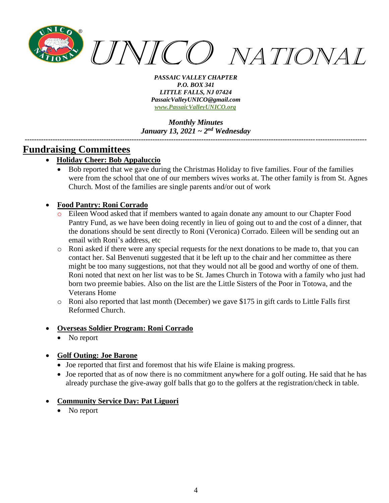

*Monthly Minutes January 13, 2021 ~ 2nd Wednesday*

*---------------------------------------------------------------------------------------------------------------------------------------------------*

## **Fundraising Committees**

- **Holiday Cheer: Bob Appaluccio**
	- Bob reported that we gave during the Christmas Holiday to five families. Four of the families were from the school that one of our members wives works at. The other family is from St. Agnes Church. Most of the families are single parents and/or out of work

### • **Food Pantry: Roni Corrado**

- Eileen Wood asked that if members wanted to again donate any amount to our Chapter Food Pantry Fund, as we have been doing recently in lieu of going out to and the cost of a dinner, that the donations should be sent directly to Roni (Veronica) Corrado. Eileen will be sending out an email with Roni's address, etc
- o Roni asked if there were any special requests for the next donations to be made to, that you can contact her. Sal Benvenuti suggested that it be left up to the chair and her committee as there might be too many suggestions, not that they would not all be good and worthy of one of them. Roni noted that next on her list was to be St. James Church in Totowa with a family who just had born two preemie babies. Also on the list are the Little Sisters of the Poor in Totowa, and the Veterans Home
- o Roni also reported that last month (December) we gave \$175 in gift cards to Little Falls first Reformed Church.

### • **Overseas Soldier Program: Roni Corrado**

No report

### • **Golf Outing: Joe Barone**

- Joe reported that first and foremost that his wife Elaine is making progress.
- Joe reported that as of now there is no commitment anywhere for a golf outing. He said that he has already purchase the give-away golf balls that go to the golfers at the registration/check in table.

### • **Community Service Day: Pat Liguori**

No report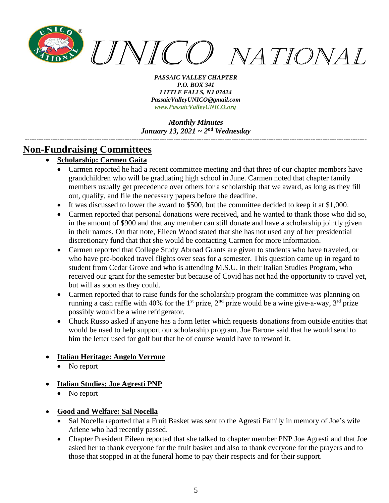

*Monthly Minutes January 13, 2021 ~ 2nd Wednesday*

*---------------------------------------------------------------------------------------------------------------------------------------------------*

## **Non-Fundraising Committees**

- **Scholarship: Carmen Gaita**
	- Carmen reported he had a recent committee meeting and that three of our chapter members have grandchildren who will be graduating high school in June. Carmen noted that chapter family members usually get precedence over others for a scholarship that we award, as long as they fill out, qualify, and file the necessary papers before the deadline.
	- It was discussed to lower the award to \$500, but the committee decided to keep it at \$1,000.
	- Carmen reported that personal donations were received, and he wanted to thank those who did so, in the amount of \$900 and that any member can still donate and have a scholarship jointly given in their names. On that note, Eileen Wood stated that she has not used any of her presidential discretionary fund that that she would be contacting Carmen for more information.
	- Carmen reported that College Study Abroad Grants are given to students who have traveled, or who have pre-booked travel flights over seas for a semester. This question came up in regard to student from Cedar Grove and who is attending M.S.U. in their Italian Studies Program, who received our grant for the semester but because of Covid has not had the opportunity to travel yet, but will as soon as they could.
	- Carmen reported that to raise funds for the scholarship program the committee was planning on running a cash raffle with 40% for the 1<sup>st</sup> prize, 2<sup>nd</sup> prize would be a wine give-a-way, 3<sup>rd</sup> prize possibly would be a wine refrigerator.
	- Chuck Russo asked if anyone has a form letter which requests donations from outside entities that would be used to help support our scholarship program. Joe Barone said that he would send to him the letter used for golf but that he of course would have to reword it.
- **Italian Heritage: Angelo Verrone**
	- No report
- **Italian Studies: Joe Agresti PNP**
	- No report
- **Good and Welfare: Sal Nocella**
	- Sal Nocella reported that a Fruit Basket was sent to the Agresti Family in memory of Joe's wife Arlene who had recently passed.
	- Chapter President Eileen reported that she talked to chapter member PNP Joe Agresti and that Joe asked her to thank everyone for the fruit basket and also to thank everyone for the prayers and to those that stopped in at the funeral home to pay their respects and for their support.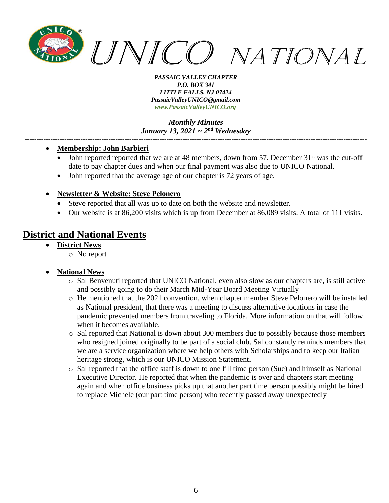

*Monthly Minutes January 13, 2021 ~ 2nd Wednesday*

*---------------------------------------------------------------------------------------------------------------------------------------------------*

- **Membership: John Barbieri**
	- John reported reported that we are at 48 members, down from 57. December  $31<sup>st</sup>$  was the cut-off date to pay chapter dues and when our final payment was also due to UNICO National.
	- John reported that the average age of our chapter is 72 years of age.
- **Newsletter & Website: Steve Pelonero**
	- Steve reported that all was up to date on both the website and newsletter.
	- Our website is at 86,200 visits which is up from December at 86,089 visits. A total of 111 visits.

## **District and National Events**

- **District News**
	- o No report

#### • **National News**

- o Sal Benvenuti reported that UNICO National, even also slow as our chapters are, is still active and possibly going to do their March Mid-Year Board Meeting Virtually
- o He mentioned that the 2021 convention, when chapter member Steve Pelonero will be installed as National president, that there was a meeting to discuss alternative locations in case the pandemic prevented members from traveling to Florida. More information on that will follow when it becomes available.
- o Sal reported that National is down about 300 members due to possibly because those members who resigned joined originally to be part of a social club. Sal constantly reminds members that we are a service organization where we help others with Scholarships and to keep our Italian heritage strong, which is our UNICO Mission Statement.
- o Sal reported that the office staff is down to one fill time person (Sue) and himself as National Executive Director. He reported that when the pandemic is over and chapters start meeting again and when office business picks up that another part time person possibly might be hired to replace Michele (our part time person) who recently passed away unexpectedly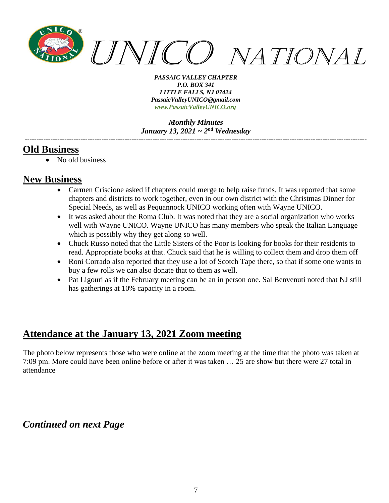

*Monthly Minutes January 13, 2021 ~ 2nd Wednesday*

*---------------------------------------------------------------------------------------------------------------------------------------------------*

## **Old Business**

• No old business

## **New Business**

- Carmen Criscione asked if chapters could merge to help raise funds. It was reported that some chapters and districts to work together, even in our own district with the Christmas Dinner for Special Needs, as well as Pequannock UNICO working often with Wayne UNICO.
- It was asked about the Roma Club. It was noted that they are a social organization who works well with Wayne UNICO. Wayne UNICO has many members who speak the Italian Language which is possibly why they get along so well.
- Chuck Russo noted that the Little Sisters of the Poor is looking for books for their residents to read. Appropriate books at that. Chuck said that he is willing to collect them and drop them off
- Roni Corrado also reported that they use a lot of Scotch Tape there, so that if some one wants to buy a few rolls we can also donate that to them as well.
- Pat Ligouri as if the February meeting can be an in person one. Sal Benvenuti noted that NJ still has gatherings at 10% capacity in a room.

# **Attendance at the January 13, 2021 Zoom meeting**

The photo below represents those who were online at the zoom meeting at the time that the photo was taken at 7:09 pm. More could have been online before or after it was taken … 25 are show but there were 27 total in attendance

# *Continued on next Page*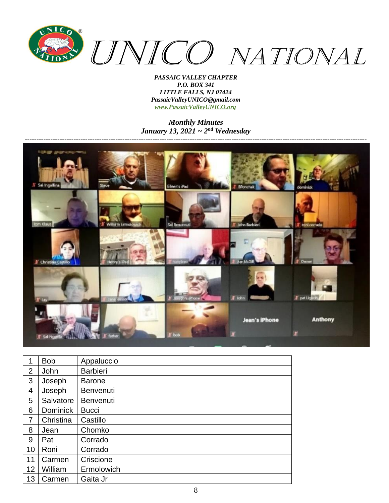

*Monthly Minutes January 13, 2021 ~ 2nd Wednesday*



| 1              | <b>Bob</b>      | Appaluccio       |
|----------------|-----------------|------------------|
| $\overline{2}$ | John            | <b>Barbieri</b>  |
| 3              | Joseph          | <b>Barone</b>    |
| 4              | Joseph          | <b>Benvenuti</b> |
| 5              | Salvatore       | <b>Benvenuti</b> |
| 6              | <b>Dominick</b> | <b>Bucci</b>     |
| 7              | Christina       | Castillo         |
| 8              | Jean            | Chomko           |
| 9              | Pat             | Corrado          |
| 10             | Roni            | Corrado          |
| 11             | Carmen          | Criscione        |
| 12             | William         | Ermolowich       |
| 13             | Carmen          | Gaita Jr         |